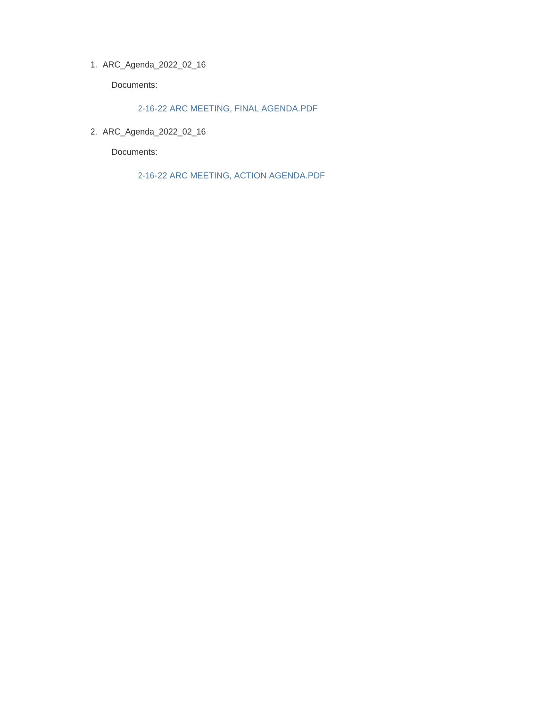ARC\_Agenda\_2022\_02\_16 1.

Documents:

2-16-22 ARC MEETING, FINAL AGENDA.PDF

ARC\_Agenda\_2022\_02\_16 2.

Documents:

2-16-22 ARC MEETING, ACTION AGENDA.PDF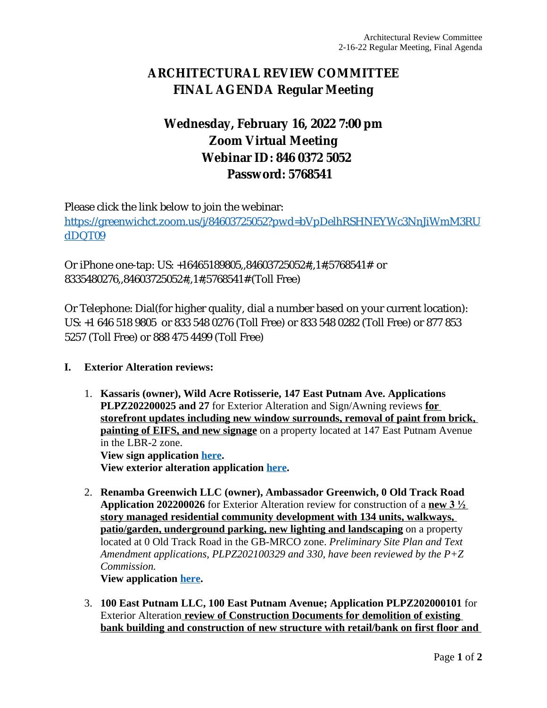# **ARCHITECTURAL REVIEW COMMITTEE FINAL AGENDA Regular Meeting**

# **Wednesday, February 16, 2022 7:00 pm Zoom Virtual Meeting Webinar ID: 846 0372 5052 Password: 5768541**

Please click the link below to join the webinar: [https://greenwichct.zoom.us/j/84603725052?pwd=bVpDelhRSHNEYWc3NnJiWmM3RU](https://greenwichct.zoom.us/j/84603725052?pwd=bVpDelhRSHNEYWc3NnJiWmM3RUdDQT09) dDQT09

Or iPhone one-tap: US: +16465189805,,84603725052#,,1#,5768541# or 8335480276,,84603725052#,,1#,5768541# (Toll Free)

Or Telephone: Dial(for higher quality, dial a number based on your current location): US: +1 646 518 9805 or 833 548 0276 (Toll Free) or 833 548 0282 (Toll Free) or 877 853 5257 (Toll Free) or 888 475 4499 (Toll Free)

### **I. Exterior Alteration reviews:**

1. **Kassaris (owner), Wild Acre Rotisserie, 147 East Putnam Ave. Applications PLPZ202200025 and 27** for Exterior Alteration and Sign/Awning reviews **for storefront updates including new window surrounds, removal of paint from brick, painting of EIFS, and new signage** on a property located at 147 East Putnam Avenue in the LBR-2 zone. **View sign application [here](https://www.greenwichct.gov/DocumentCenter/View/28441/ARC-SA-147-EPA-WIldacre-PLPZ202200027).**

**View exterior alteration application [here](https://www.greenwichct.gov/DocumentCenter/View/28440/ARC-EA-147-EPA-WIldacre-PLPZ202200025).**

2. **Renamba Greenwich LLC (owner), Ambassador Greenwich, 0 Old Track Road Application 202200026** for Exterior Alteration review for construction of a **new 3 ½ story managed residential community development with 134 units, walkways, patio/garden, underground parking, new lighting and landscaping** on a property located at 0 Old Track Road in the GB-MRCO zone. *Preliminary Site Plan and Text Amendment applications, PLPZ202100329 and 330, have been reviewed by the P+Z Commission.* 

**View application [here](https://www.greenwichct.gov/DocumentCenter/View/28438/0-Old-Track-PLPZ202200026-ARC-EA).**

3. **100 East Putnam LLC, 100 East Putnam Avenue; Application PLPZ202000101** for Exterior Alteration **review of Construction Documents for demolition of existing bank building and construction of new structure with retail/bank on first floor and**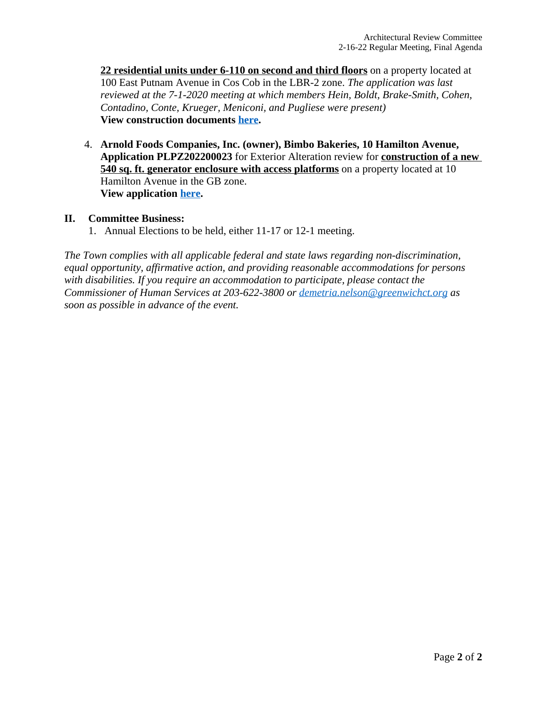**22 residential units under 6-110 on second and third floors** on a property located at 100 East Putnam Avenue in Cos Cob in the LBR-2 zone. *The application was last reviewed at the 7-1-2020 meeting at which members Hein, Boldt, Brake-Smith, Cohen, Contadino, Conte, Krueger, Meniconi, and Pugliese were present)* **View construction documents [here](https://www.greenwichct.gov/DocumentCenter/View/28439/100-EPA-CDs-PLPZ202000101).**

4. **Arnold Foods Companies, Inc. (owner), Bimbo Bakeries, 10 Hamilton Avenue, Application PLPZ202200023** for Exterior Alteration review for **construction of a new 540 sq. ft. generator enclosure with access platforms** on a property located at 10 Hamilton Avenue in the GB zone. **View application [here](https://www.greenwichct.gov/DocumentCenter/View/28442/BImbo-bakeries-10-Hamilton-PLPZ202200023-ARC-EA).**

### **II. Committee Business:**

1. Annual Elections to be held, either 11-17 or 12-1 meeting.

*The Town complies with all applicable federal and state laws regarding non-discrimination, equal opportunity, affirmative action, and providing reasonable accommodations for persons with disabilities. If you require an accommodation to participate, please contact the Commissioner of Human Services at 203-622-3800 or [demetria.nelson@greenwichct.org](mailto:demetria.nelson@greenwichct.org) as soon as possible in advance of the event.*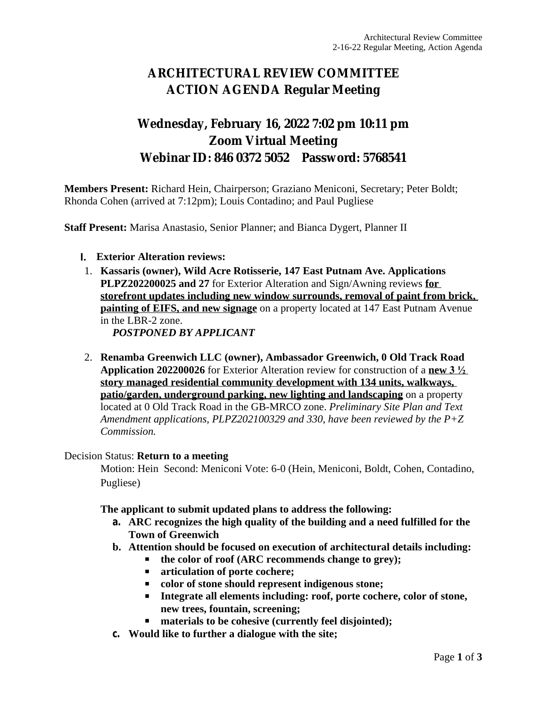# **ARCHITECTURAL REVIEW COMMITTEE ACTION AGENDA Regular Meeting**

# **Wednesday, February 16, 2022 7:02 pm 10:11 pm Zoom Virtual Meeting Webinar ID: 846 0372 5052 Password: 5768541**

**Members Present:** Richard Hein, Chairperson; Graziano Meniconi, Secretary; Peter Boldt; Rhonda Cohen (arrived at 7:12pm); Louis Contadino; and Paul Pugliese

**Staff Present:** Marisa Anastasio, Senior Planner; and Bianca Dygert, Planner II

### **I. Exterior Alteration reviews:**

1. **Kassaris (owner), Wild Acre Rotisserie, 147 East Putnam Ave. Applications PLPZ202200025 and 27** for Exterior Alteration and Sign/Awning reviews **for storefront updates including new window surrounds, removal of paint from brick, painting of EIFS, and new signage** on a property located at 147 East Putnam Avenue in the LBR-2 zone.

*POSTPONED BY APPLICANT*

2. **Renamba Greenwich LLC (owner), Ambassador Greenwich, 0 Old Track Road Application 202200026** for Exterior Alteration review for construction of a **new 3 ½ story managed residential community development with 134 units, walkways, patio/garden, underground parking, new lighting and landscaping** on a property located at 0 Old Track Road in the GB-MRCO zone. *Preliminary Site Plan and Text Amendment applications, PLPZ202100329 and 330, have been reviewed by the P+Z Commission.* 

#### Decision Status: **Return to a meeting**

Motion: Hein Second: Meniconi Vote: 6-0 (Hein, Meniconi, Boldt, Cohen, Contadino, Pugliese)

**The applicant to submit updated plans to address the following:**

- **a. ARC recognizes the high quality of the building and a need fulfilled for the Town of Greenwich**
- **b. Attention should be focused on execution of architectural details including:**
	- the color of roof (ARC recommends change to grey);
	- **articulation of porte cochere;**
	- **color of stone should represent indigenous stone;**
	- **Integrate all elements including: roof, porte cochere, color of stone, new trees, fountain, screening;**
	- materials to be cohesive (currently feel disjointed);
- **c. Would like to further a dialogue with the site;**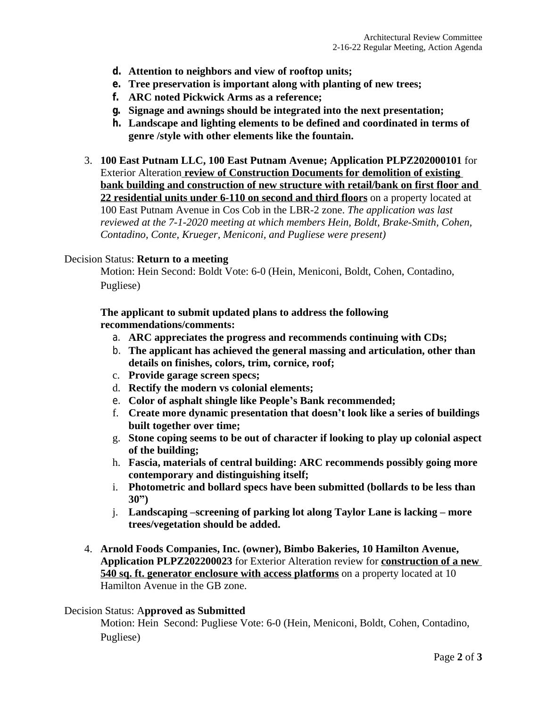- **d. Attention to neighbors and view of rooftop units;**
- **e. Tree preservation is important along with planting of new trees;**
- **f. ARC noted Pickwick Arms as a reference;**
- **g. Signage and awnings should be integrated into the next presentation;**
- **h. Landscape and lighting elements to be defined and coordinated in terms of genre /style with other elements like the fountain.**
- 3. **100 East Putnam LLC, 100 East Putnam Avenue; Application PLPZ202000101** for Exterior Alteration **review of Construction Documents for demolition of existing bank building and construction of new structure with retail/bank on first floor and 22 residential units under 6-110 on second and third floors** on a property located at 100 East Putnam Avenue in Cos Cob in the LBR-2 zone. *The application was last reviewed at the 7-1-2020 meeting at which members Hein, Boldt, Brake-Smith, Cohen, Contadino, Conte, Krueger, Meniconi, and Pugliese were present)*

#### Decision Status: **Return to a meeting**

Motion: Hein Second: Boldt Vote: 6-0 (Hein, Meniconi, Boldt, Cohen, Contadino, Pugliese)

**The applicant to submit updated plans to address the following recommendations/comments:**

- a. **ARC appreciates the progress and recommends continuing with CDs;**
- b. **The applicant has achieved the general massing and articulation, other than details on finishes, colors, trim, cornice, roof;**
- c. **Provide garage screen specs;**
- d. **Rectify the modern vs colonial elements;**
- e. **Color of asphalt shingle like People's Bank recommended;**
- f. **Create more dynamic presentation that doesn't look like a series of buildings built together over time;**
- g. **Stone coping seems to be out of character if looking to play up colonial aspect of the building;**
- h. **Fascia, materials of central building: ARC recommends possibly going more contemporary and distinguishing itself;**
- i. **Photometric and bollard specs have been submitted (bollards to be less than 30")**
- j. **Landscaping –screening of parking lot along Taylor Lane is lacking – more trees/vegetation should be added.**
- 4. **Arnold Foods Companies, Inc. (owner), Bimbo Bakeries, 10 Hamilton Avenue, Application PLPZ202200023** for Exterior Alteration review for **construction of a new 540 sq. ft. generator enclosure with access platforms** on a property located at 10 Hamilton Avenue in the GB zone.

#### Decision Status: A**pproved as Submitted**

Motion: Hein Second: Pugliese Vote: 6-0 (Hein, Meniconi, Boldt, Cohen, Contadino, Pugliese)